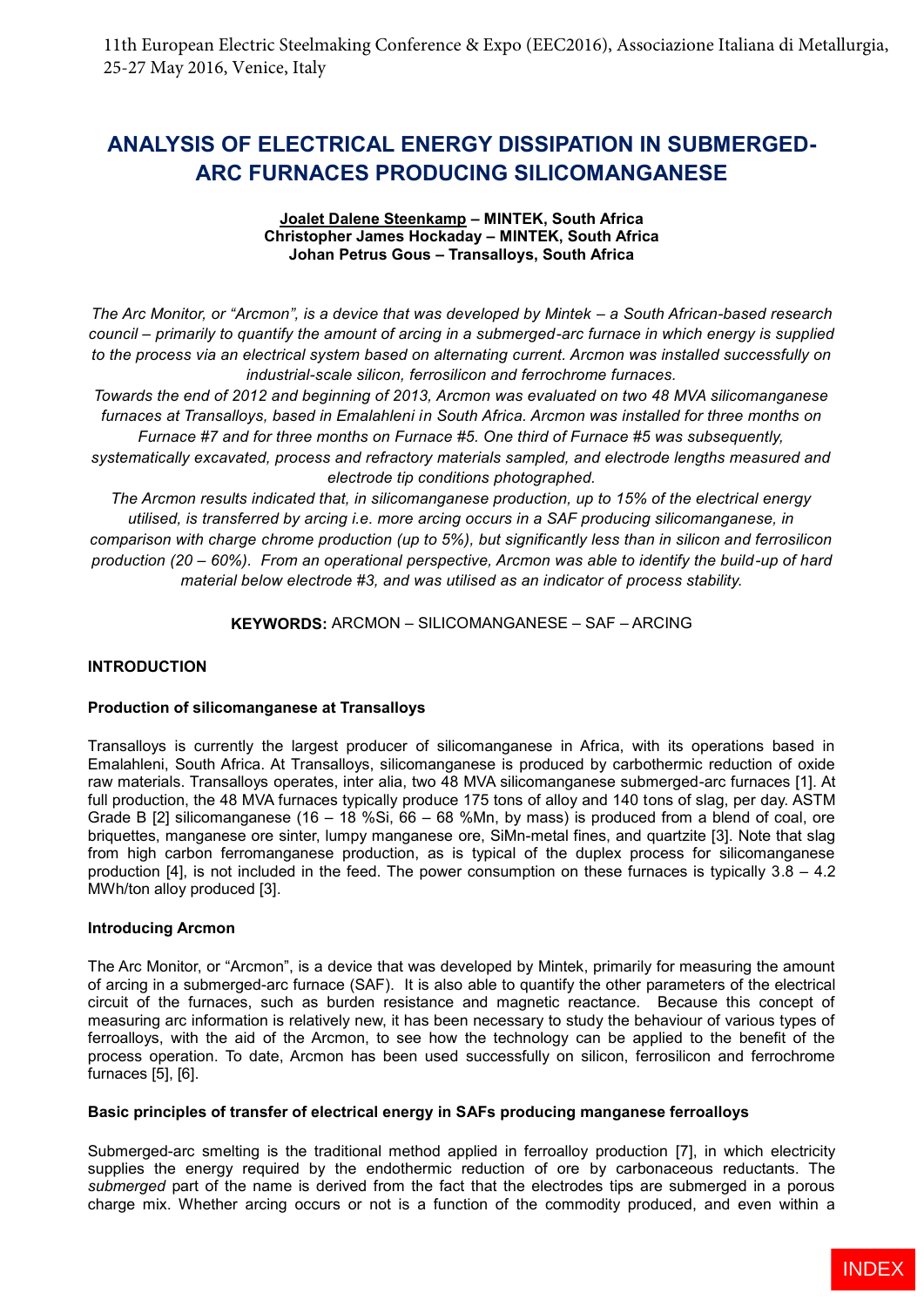# **ANALYSIS OF ELECTRICAL ENERGY DISSIPATION IN SUBMERGED-ARC FURNACES PRODUCING SILICOMANGANESE**

#### **Joalet Dalene Steenkamp – MINTEK, South Africa Christopher James Hockaday – MINTEK, South Africa Johan Petrus Gous – Transalloys, South Africa**

*The Arc Monitor, or "Arcmon", is a device that was developed by Mintek – a South African-based research council – primarily to quantify the amount of arcing in a submerged-arc furnace in which energy is supplied to the process via an electrical system based on alternating current. Arcmon was installed successfully on industrial-scale silicon, ferrosilicon and ferrochrome furnaces.*

*Towards the end of 2012 and beginning of 2013, Arcmon was evaluated on two 48 MVA silicomanganese furnaces at Transalloys, based in Emalahleni in South Africa. Arcmon was installed for three months on Furnace #7 and for three months on Furnace #5. One third of Furnace #5 was subsequently,* 

*systematically excavated, process and refractory materials sampled, and electrode lengths measured and electrode tip conditions photographed.* 

*The Arcmon results indicated that, in silicomanganese production, up to 15% of the electrical energy utilised, is transferred by arcing i.e. more arcing occurs in a SAF producing silicomanganese, in comparison with charge chrome production (up to 5%), but significantly less than in silicon and ferrosilicon production (20 – 60%). From an operational perspective, Arcmon was able to identify the build-up of hard material below electrode #3, and was utilised as an indicator of process stability.*

**KEYWORDS:** ARCMON – SILICOMANGANESE – SAF – ARCING

### **INTRODUCTION**

### **Production of silicomanganese at Transalloys**

Transalloys is currently the largest producer of silicomanganese in Africa, with its operations based in Emalahleni, South Africa. At Transalloys, silicomanganese is produced by carbothermic reduction of oxide raw materials. Transalloys operates, inter alia, two 48 MVA silicomanganese submerged-arc furnaces [1]. At full production, the 48 MVA furnaces typically produce 175 tons of alloy and 140 tons of slag, per day. ASTM Grade B [2] silicomanganese (16 – 18 %Si, 66 – 68 %Mn, by mass) is produced from a blend of coal, ore briquettes, manganese ore sinter, lumpy manganese ore, SiMn-metal fines, and quartzite [3]. Note that slag from high carbon ferromanganese production, as is typical of the duplex process for silicomanganese production  $[4]$ , is not included in the feed. The power consumption on these furnaces is typically  $3.8 - 4.2$ MWh/ton alloy produced [3].

### **Introducing Arcmon**

The Arc Monitor, or "Arcmon", is a device that was developed by Mintek, primarily for measuring the amount of arcing in a submerged-arc furnace (SAF). It is also able to quantify the other parameters of the electrical circuit of the furnaces, such as burden resistance and magnetic reactance. Because this concept of measuring arc information is relatively new, it has been necessary to study the behaviour of various types of ferroalloys, with the aid of the Arcmon, to see how the technology can be applied to the benefit of the process operation. To date, Arcmon has been used successfully on silicon, ferrosilicon and ferrochrome furnaces [5], [6].

## **Basic principles of transfer of electrical energy in SAFs producing manganese ferroalloys**

Submerged-arc smelting is the traditional method applied in ferroalloy production [7], in which electricity supplies the energy required by the endothermic reduction of ore by carbonaceous reductants. The *submerged* part of the name is derived from the fact that the electrodes tips are submerged in a porous charge mix. Whether arcing occurs or not is a function of the commodity produced, and even within a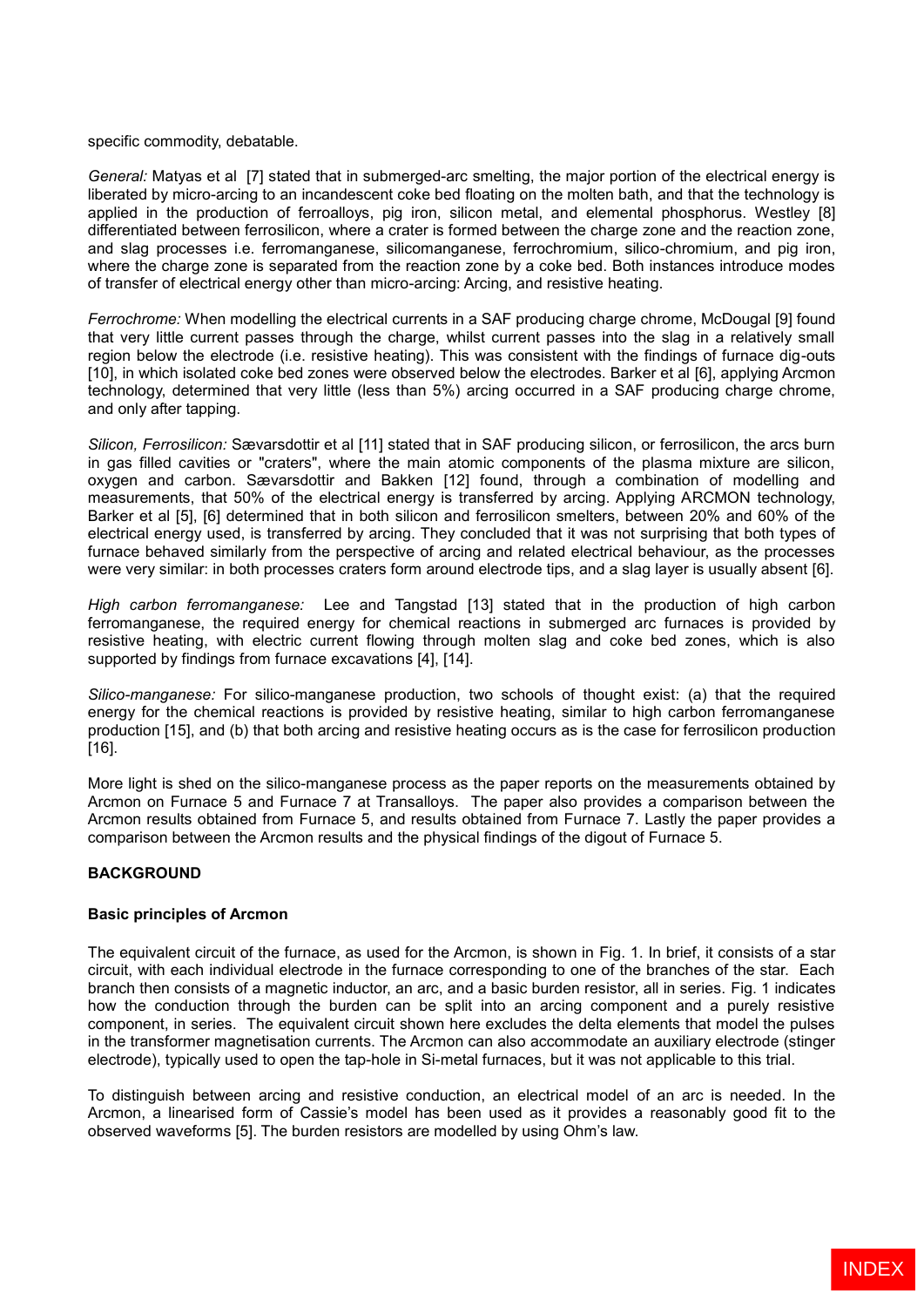specific commodity, debatable.

*General:* Matyas et al [7] stated that in submerged-arc smelting, the major portion of the electrical energy is liberated by micro-arcing to an incandescent coke bed floating on the molten bath, and that the technology is applied in the production of ferroalloys, pig iron, silicon metal, and elemental phosphorus. Westley [8] differentiated between ferrosilicon, where a crater is formed between the charge zone and the reaction zone, and slag processes i.e. ferromanganese, silicomanganese, ferrochromium, silico-chromium, and pig iron, where the charge zone is separated from the reaction zone by a coke bed. Both instances introduce modes of transfer of electrical energy other than micro-arcing: Arcing, and resistive heating.

*Ferrochrome:* When modelling the electrical currents in a SAF producing charge chrome, McDougal [9] found that very little current passes through the charge, whilst current passes into the slag in a relatively small region below the electrode (i.e. resistive heating). This was consistent with the findings of furnace dig-outs [10], in which isolated coke bed zones were observed below the electrodes. Barker et al [6], applying Arcmon technology, determined that very little (less than 5%) arcing occurred in a SAF producing charge chrome, and only after tapping.

*Silicon, Ferrosilicon:* Sævarsdottir et al [11] stated that in SAF producing silicon, or ferrosilicon, the arcs burn in gas filled cavities or "craters", where the main atomic components of the plasma mixture are silicon, oxygen and carbon. Sævarsdottir and Bakken [12] found, through a combination of modelling and measurements, that 50% of the electrical energy is transferred by arcing. Applying ARCMON technology, Barker et al [5], [6] determined that in both silicon and ferrosilicon smelters, between 20% and 60% of the electrical energy used, is transferred by arcing. They concluded that it was not surprising that both types of furnace behaved similarly from the perspective of arcing and related electrical behaviour, as the processes were very similar: in both processes craters form around electrode tips, and a slag layer is usually absent [6].

*High carbon ferromanganese:* Lee and Tangstad [13] stated that in the production of high carbon ferromanganese, the required energy for chemical reactions in submerged arc furnaces is provided by resistive heating, with electric current flowing through molten slag and coke bed zones, which is also supported by findings from furnace excavations [4], [14].

*Silico-manganese:* For silico-manganese production, two schools of thought exist: (a) that the required energy for the chemical reactions is provided by resistive heating, similar to high carbon ferromanganese production [15], and (b) that both arcing and resistive heating occurs as is the case for ferrosilicon production [16].

More light is shed on the silico-manganese process as the paper reports on the measurements obtained by Arcmon on Furnace 5 and Furnace 7 at Transalloys. The paper also provides a comparison between the Arcmon results obtained from Furnace 5, and results obtained from Furnace 7. Lastly the paper provides a comparison between the Arcmon results and the physical findings of the digout of Furnace 5.

### **BACKGROUND**

### **Basic principles of Arcmon**

The equivalent circuit of the furnace, as used for the Arcmon, is shown in Fig. 1. In brief, it consists of a star circuit, with each individual electrode in the furnace corresponding to one of the branches of the star. Each branch then consists of a magnetic inductor, an arc, and a basic burden resistor, all in series. Fig. 1 indicates how the conduction through the burden can be split into an arcing component and a purely resistive component, in series. The equivalent circuit shown here excludes the delta elements that model the pulses in the transformer magnetisation currents. The Arcmon can also accommodate an auxiliary electrode (stinger electrode), typically used to open the tap-hole in Si-metal furnaces, but it was not applicable to this trial.

To distinguish between arcing and resistive conduction, an electrical model of an arc is needed. In the Arcmon, a linearised form of Cassie's model has been used as it provides a reasonably good fit to the observed waveforms [5]. The burden resistors are modelled by using Ohm's law.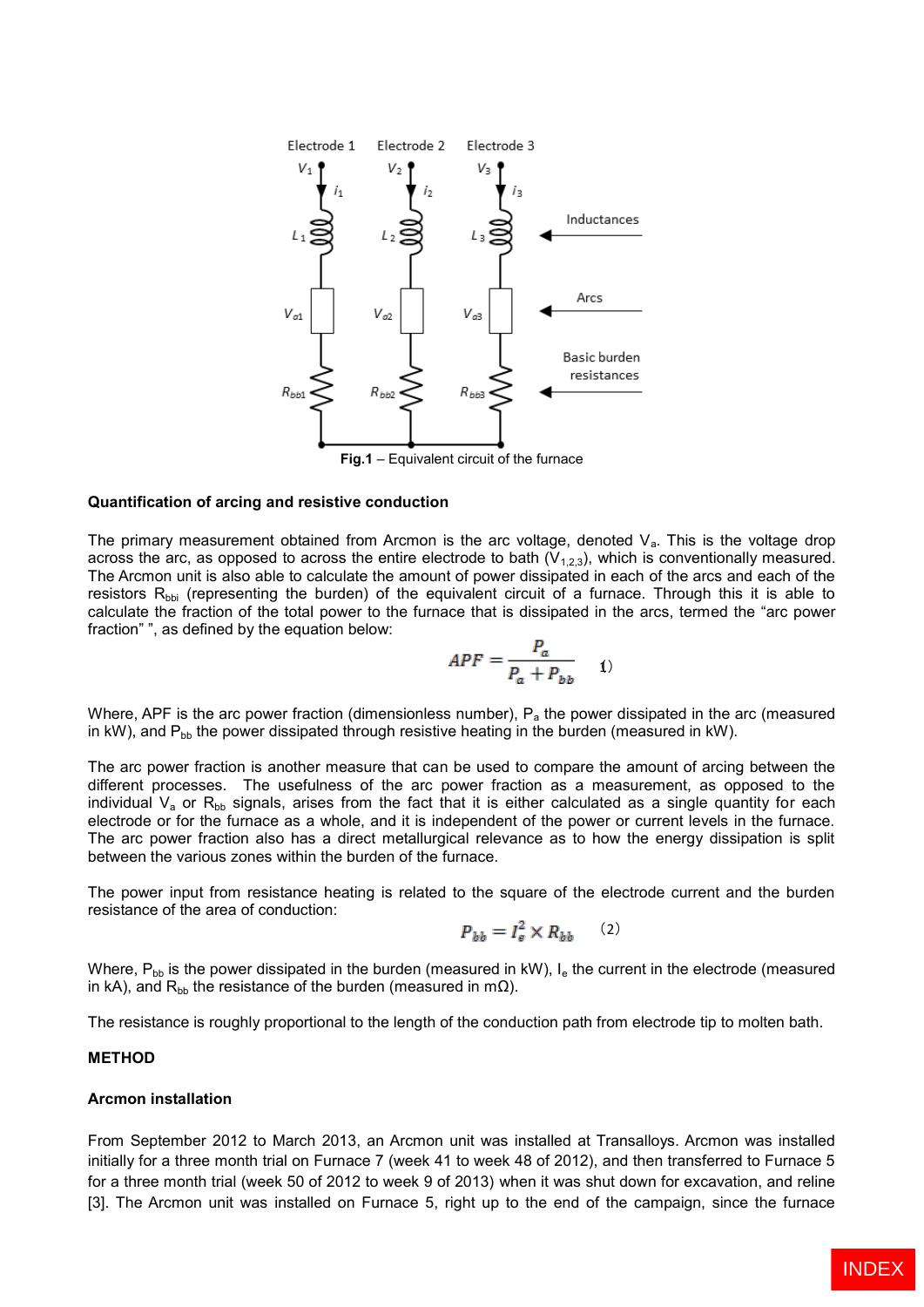

**Fig.1** – Equivalent circuit of the furnace

### **Quantification of arcing and resistive conduction**

The primary measurement obtained from Arcmon is the arc voltage, denoted  $V_a$ . This is the voltage drop across the arc, as opposed to across the entire electrode to bath  $(V_{1,2,3})$ , which is conventionally measured. The Arcmon unit is also able to calculate the amount of power dissipated in each of the arcs and each of the resistors  $R_{\text{bb}}$  (representing the burden) of the equivalent circuit of a furnace. Through this it is able to calculate the fraction of the total power to the furnace that is dissipated in the arcs, termed the "arc power fraction" ", as defined by the equation below:

$$
APF = \frac{P_a}{P_a + P_{bb}} \qquad (1)
$$

Where, APF is the arc power fraction (dimensionless number),  $P_a$  the power dissipated in the arc (measured in kW), and  $P_{bb}$  the power dissipated through resistive heating in the burden (measured in kW).

The arc power fraction is another measure that can be used to compare the amount of arcing between the different processes. The usefulness of the arc power fraction as a measurement, as opposed to the individual  $V_a$  or  $R_{bb}$  signals, arises from the fact that it is either calculated as a single quantity for each electrode or for the furnace as a whole, and it is independent of the power or current levels in the furnace. The arc power fraction also has a direct metallurgical relevance as to how the energy dissipation is split between the various zones within the burden of the furnace.

The power input from resistance heating is related to the square of the electrode current and the burden resistance of the area of conduction:

$$
P_{bb} = I_e^2 \times R_{bb} \qquad (2)
$$

Where,  $P_{bb}$  is the power dissipated in the burden (measured in kW),  $I_e$  the current in the electrode (measured in kA), and R<sub>bb</sub> the resistance of the burden (measured in mΩ).

The resistance is roughly proportional to the length of the conduction path from electrode tip to molten bath.

### **METHOD**

#### **Arcmon installation**

From September 2012 to March 2013, an Arcmon unit was installed at Transalloys. Arcmon was installed initially for a three month trial on Furnace 7 (week 41 to week 48 of 2012), and then transferred to Furnace 5 for a three month trial (week 50 of 2012 to week 9 of 2013) when it was shut down for excavation, and reline [3]. The Arcmon unit was installed on Furnace 5, right up to the end of the campaign, since the furnace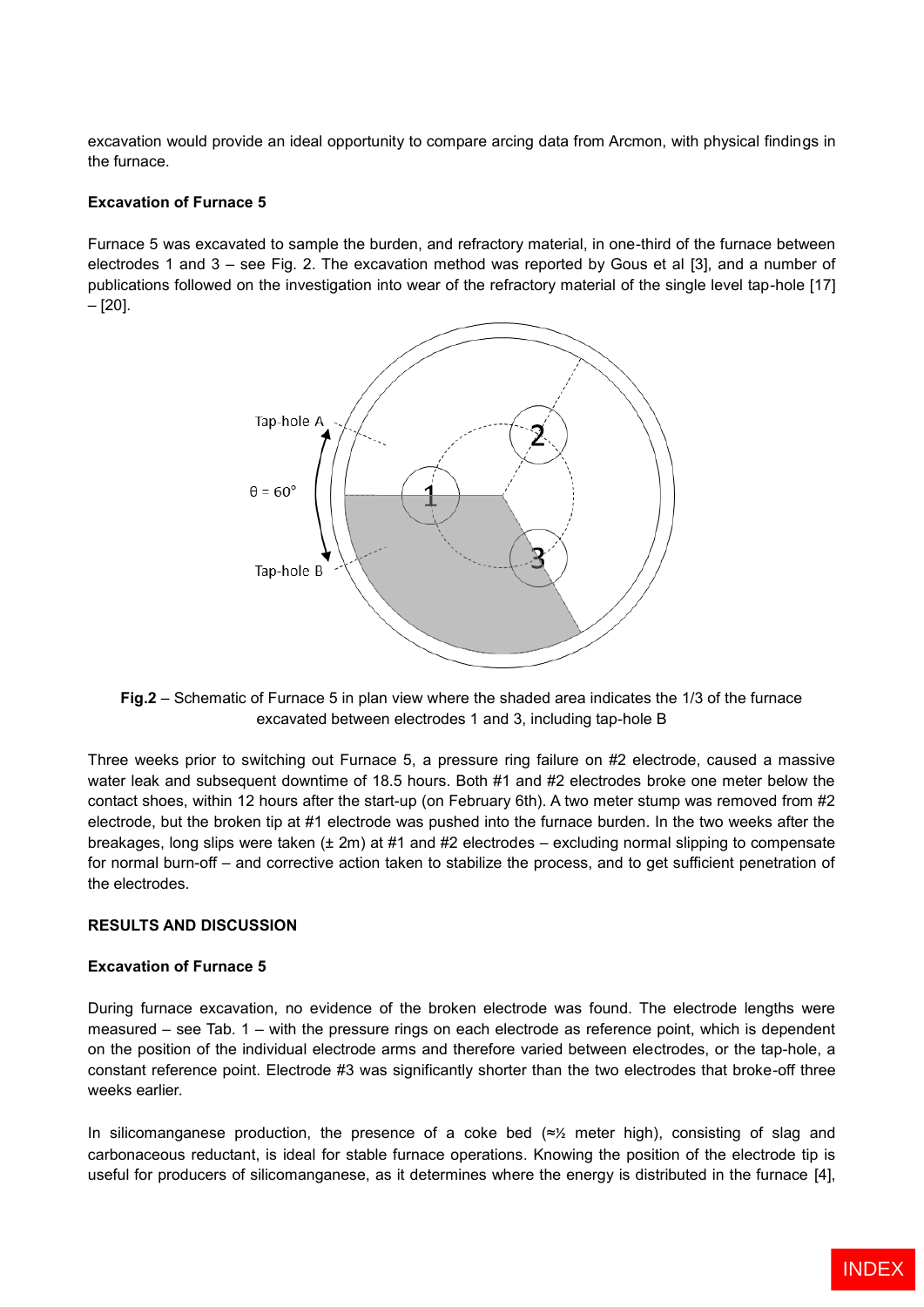excavation would provide an ideal opportunity to compare arcing data from Arcmon, with physical findings in the furnace.

# **Excavation of Furnace 5**

Furnace 5 was excavated to sample the burden, and refractory material, in one-third of the furnace between electrodes 1 and 3 – see Fig. 2. The excavation method was reported by Gous et al [3], and a number of publications followed on the investigation into wear of the refractory material of the single level tap-hole [17] – [20].



**Fig.2** – Schematic of Furnace 5 in plan view where the shaded area indicates the 1/3 of the furnace excavated between electrodes 1 and 3, including tap-hole B

Three weeks prior to switching out Furnace 5, a pressure ring failure on #2 electrode, caused a massive water leak and subsequent downtime of 18.5 hours. Both #1 and #2 electrodes broke one meter below the contact shoes, within 12 hours after the start-up (on February 6th). A two meter stump was removed from #2 electrode, but the broken tip at #1 electrode was pushed into the furnace burden. In the two weeks after the breakages, long slips were taken (± 2m) at #1 and #2 electrodes – excluding normal slipping to compensate for normal burn-off – and corrective action taken to stabilize the process, and to get sufficient penetration of the electrodes.

### **RESULTS AND DISCUSSION**

### **Excavation of Furnace 5**

During furnace excavation, no evidence of the broken electrode was found. The electrode lengths were measured – see Tab. 1 – with the pressure rings on each electrode as reference point, which is dependent on the position of the individual electrode arms and therefore varied between electrodes, or the tap-hole, a constant reference point. Electrode #3 was significantly shorter than the two electrodes that broke-off three weeks earlier.

In silicomanganese production, the presence of a coke bed (≈½ meter high), consisting of slag and carbonaceous reductant, is ideal for stable furnace operations. Knowing the position of the electrode tip is useful for producers of silicomanganese, as it determines where the energy is distributed in the furnace [4],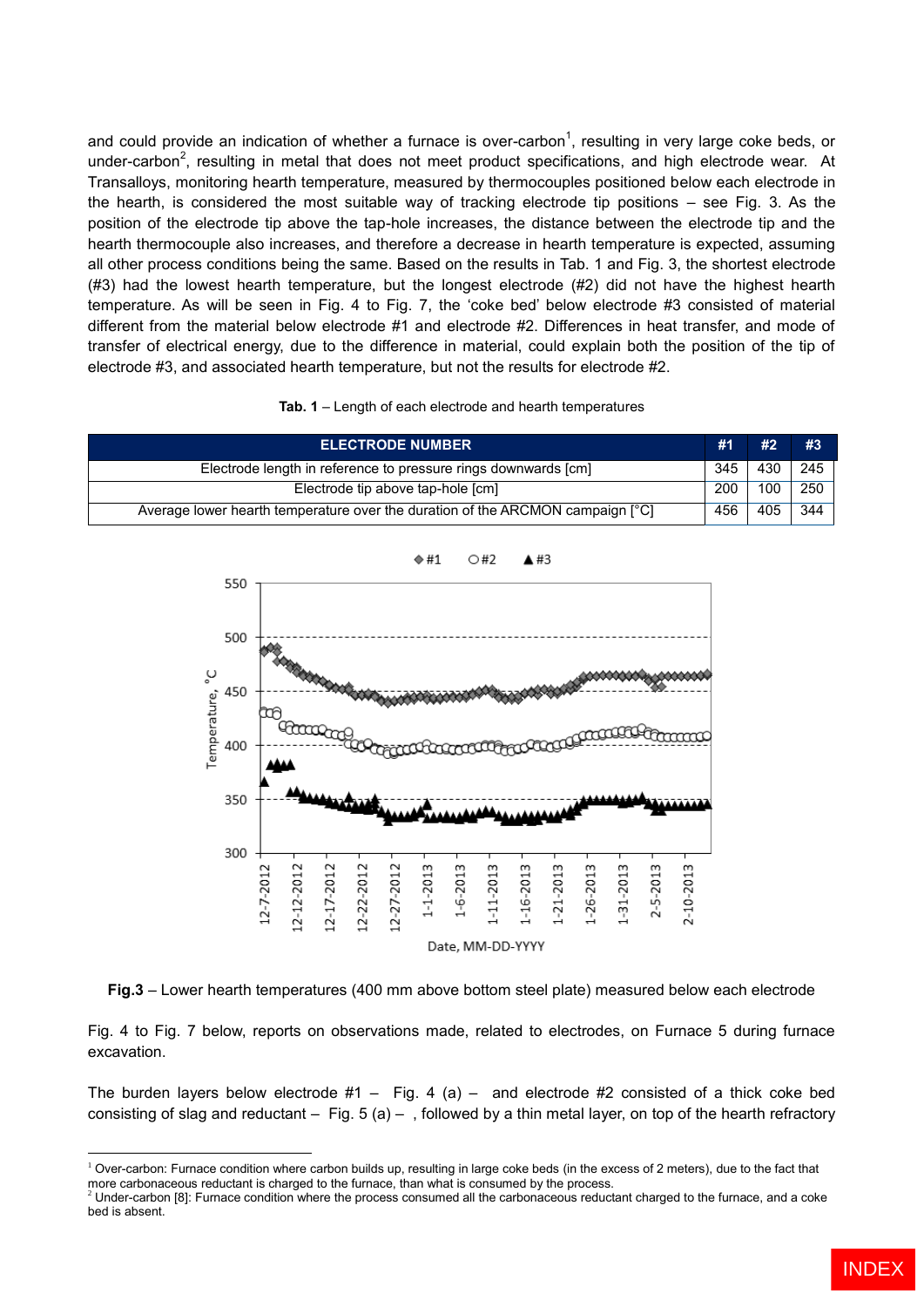and could provide an indication of whether a furnace is over-carbon<sup>1</sup>, resulting in very large coke beds, or under-carbon<sup>2</sup>, resulting in metal that does not meet product specifications, and high electrode wear. At Transalloys, monitoring hearth temperature, measured by thermocouples positioned below each electrode in the hearth, is considered the most suitable way of tracking electrode tip positions – see Fig. 3. As the position of the electrode tip above the tap-hole increases, the distance between the electrode tip and the hearth thermocouple also increases, and therefore a decrease in hearth temperature is expected, assuming all other process conditions being the same. Based on the results in Tab. 1 and Fig. 3, the shortest electrode (#3) had the lowest hearth temperature, but the longest electrode (#2) did not have the highest hearth temperature. As will be seen in Fig. 4 to Fig. 7, the 'coke bed' below electrode #3 consisted of material different from the material below electrode #1 and electrode #2. Differences in heat transfer, and mode of transfer of electrical energy, due to the difference in material, could explain both the position of the tip of electrode #3, and associated hearth temperature, but not the results for electrode #2.

#### **Tab. 1** – Length of each electrode and hearth temperatures

| <b>ELECTRODE NUMBER</b>                                                        | #1  | #2  | #3  |
|--------------------------------------------------------------------------------|-----|-----|-----|
| Electrode length in reference to pressure rings downwards [cm]                 | 345 | 430 | 245 |
| Electrode tip above tap-hole [cm]                                              | 200 | 100 | 250 |
| Average lower hearth temperature over the duration of the ARCMON campaign [°C] | 456 | 405 | 344 |



**Fig.3** – Lower hearth temperatures (400 mm above bottom steel plate) measured below each electrode

Fig. 4 to Fig. 7 below, reports on observations made, related to electrodes, on Furnace 5 during furnace excavation.

The burden layers below electrode  $#1 - Fig. 4$  (a) – and electrode  $#2$  consisted of a thick coke bed consisting of slag and reductant  $-$  Fig. 5 (a)  $-$  , followed by a thin metal layer, on top of the hearth refractory

 $1$  Over-carbon: Furnace condition where carbon builds up, resulting in large coke beds (in the excess of 2 meters), due to the fact that more carbonaceous reductant is charged to the furnace, than what is consumed by the process.

<sup>2</sup> Under-carbon [8]: Furnace condition where the process consumed all the carbonaceous reductant charged to the furnace, and a coke bed is absent.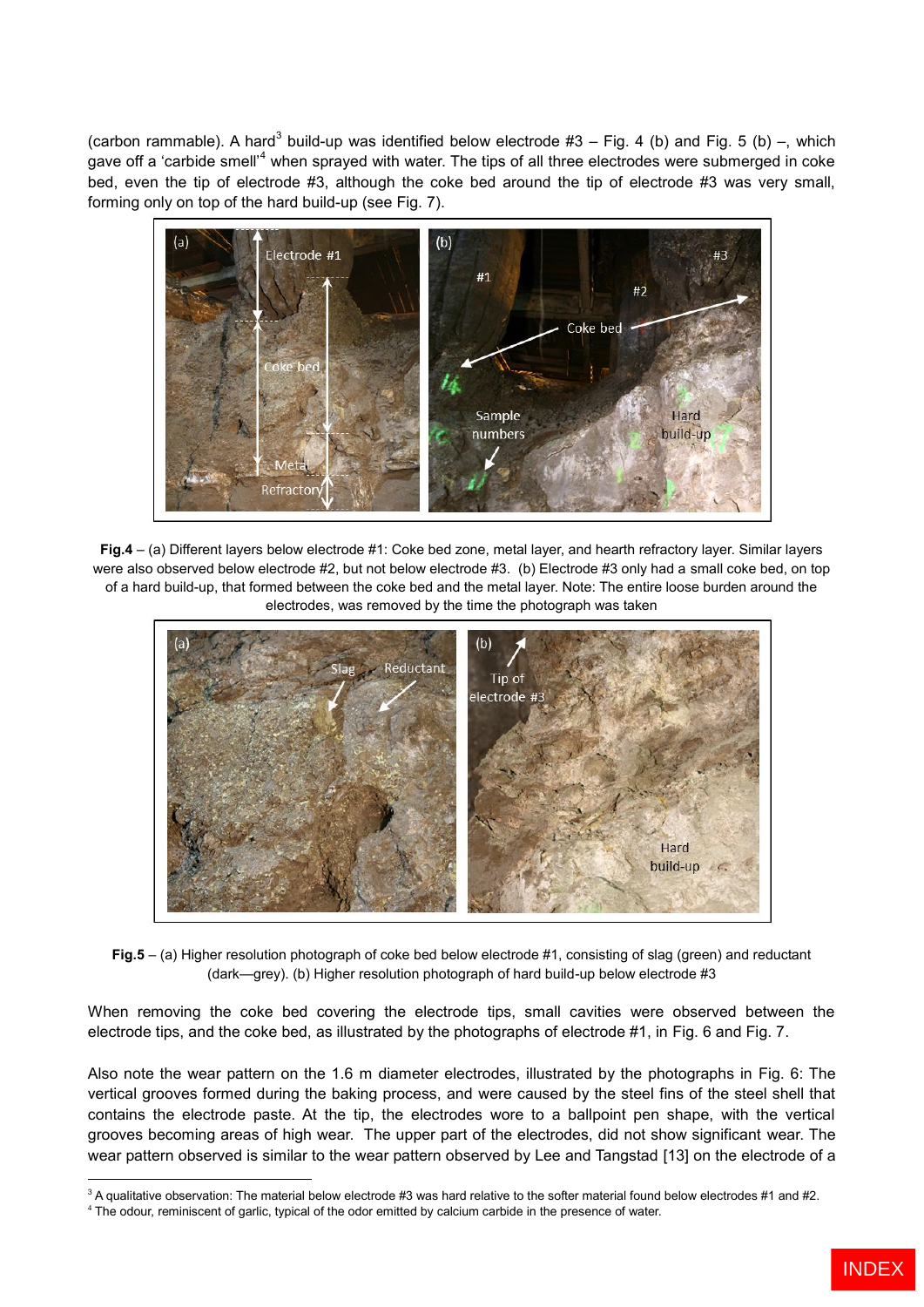(carbon rammable). A hard<sup>3</sup> build-up was identified below electrode #3 – Fig. 4 (b) and Fig. 5 (b) –, which gave off a 'carbide smell'<sup>4</sup> when sprayed with water. The tips of all three electrodes were submerged in coke bed, even the tip of electrode #3, although the coke bed around the tip of electrode #3 was very small, forming only on top of the hard build-up (see Fig. 7).



**Fig.4** – (a) Different layers below electrode #1: Coke bed zone, metal layer, and hearth refractory layer. Similar layers were also observed below electrode #2, but not below electrode #3. (b) Electrode #3 only had a small coke bed, on top of a hard build-up, that formed between the coke bed and the metal layer. Note: The entire loose burden around the electrodes, was removed by the time the photograph was taken



**Fig.5** – (a) Higher resolution photograph of coke bed below electrode #1, consisting of slag (green) and reductant (dark—grey). (b) Higher resolution photograph of hard build-up below electrode #3

When removing the coke bed covering the electrode tips, small cavities were observed between the electrode tips, and the coke bed, as illustrated by the photographs of electrode #1, in Fig. 6 and Fig. 7.

Also note the wear pattern on the 1.6 m diameter electrodes, illustrated by the photographs in Fig. 6: The vertical grooves formed during the baking process, and were caused by the steel fins of the steel shell that contains the electrode paste. At the tip, the electrodes wore to a ballpoint pen shape, with the vertical grooves becoming areas of high wear. The upper part of the electrodes, did not show significant wear. The wear pattern observed is similar to the wear pattern observed by Lee and Tangstad [13] on the electrode of a

 $3$  A qualitative observation: The material below electrode #3 was hard relative to the softer material found below electrodes #1 and #2.

<sup>4</sup> The odour, reminiscent of garlic, typical of the odor emitted by calcium carbide in the presence of water.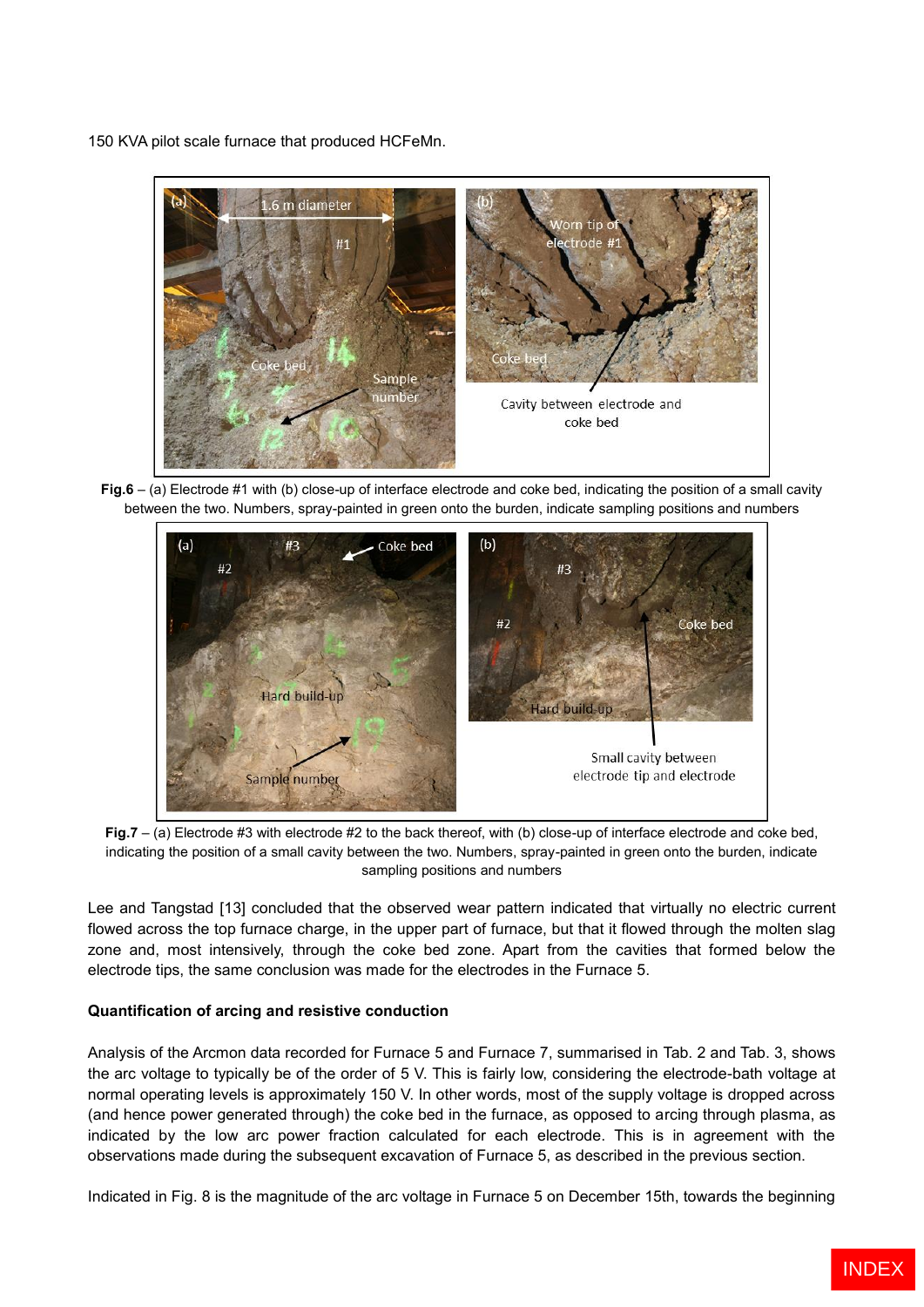150 KVA pilot scale furnace that produced HCFeMn.



**Fig.6** – (a) Electrode #1 with (b) close-up of interface electrode and coke bed, indicating the position of a small cavity between the two. Numbers, spray-painted in green onto the burden, indicate sampling positions and numbers



**Fig.7** – (a) Electrode #3 with electrode #2 to the back thereof, with (b) close-up of interface electrode and coke bed, indicating the position of a small cavity between the two. Numbers, spray-painted in green onto the burden, indicate sampling positions and numbers

Lee and Tangstad [13] concluded that the observed wear pattern indicated that virtually no electric current flowed across the top furnace charge, in the upper part of furnace, but that it flowed through the molten slag zone and, most intensively, through the coke bed zone. Apart from the cavities that formed below the electrode tips, the same conclusion was made for the electrodes in the Furnace 5.

# **Quantification of arcing and resistive conduction**

Analysis of the Arcmon data recorded for Furnace 5 and Furnace 7, summarised in Tab. 2 and Tab. 3, shows the arc voltage to typically be of the order of 5 V. This is fairly low, considering the electrode-bath voltage at normal operating levels is approximately 150 V. In other words, most of the supply voltage is dropped across (and hence power generated through) the coke bed in the furnace, as opposed to arcing through plasma, as indicated by the low arc power fraction calculated for each electrode. This is in agreement with the observations made during the subsequent excavation of Furnace 5, as described in the previous section.

Indicated in Fig. 8 is the magnitude of the arc voltage in Furnace 5 on December 15th, towards the beginning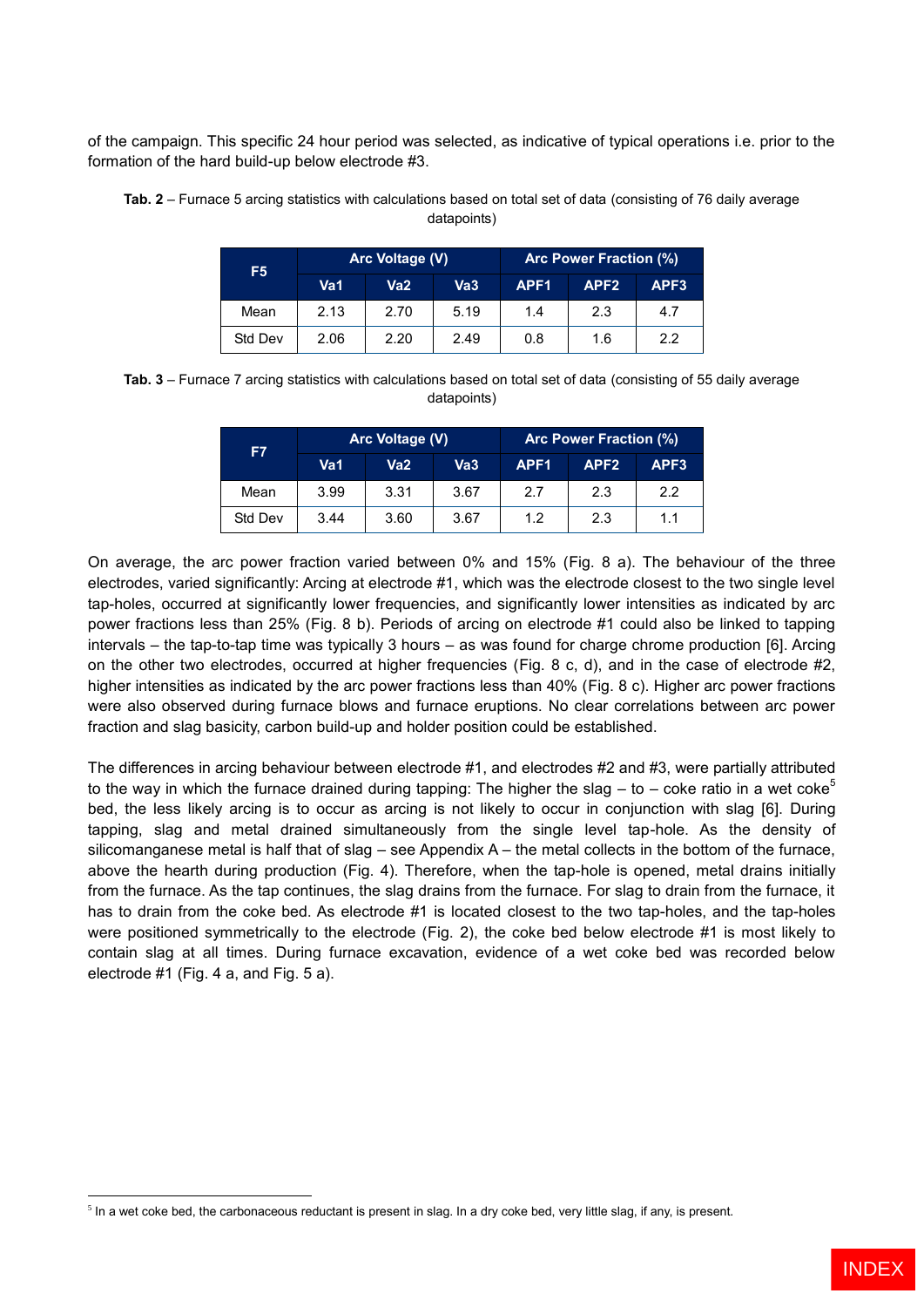of the campaign. This specific 24 hour period was selected, as indicative of typical operations i.e. prior to the formation of the hard build-up below electrode #3.

| F <sub>5</sub> | Arc Voltage (V) |      |                 | <b>Arc Power Fraction (%)</b> |                  |      |
|----------------|-----------------|------|-----------------|-------------------------------|------------------|------|
|                | Va1             | Va2  | Va <sub>3</sub> | APF <sub>1</sub>              | APF <sub>2</sub> | APF3 |
| Mean           | 2.13            | 2.70 | 5.19            | 1.4                           | 2.3              | 4.7  |
| Std Dev        | 2.06            | 2.20 | 2.49            | 0.8                           | 1.6              | 2.2  |

**Tab. 2** – Furnace 5 arcing statistics with calculations based on total set of data (consisting of 76 daily average datapoints)

**Tab. 3** – Furnace 7 arcing statistics with calculations based on total set of data (consisting of 55 daily average datapoints)

| F7      | Arc Voltage (V) |      |      | Arc Power Fraction (%) |                  |                  |
|---------|-----------------|------|------|------------------------|------------------|------------------|
|         | Va1             | Va2  | Va3  | APF <sub>1</sub>       | APF <sub>2</sub> | APF <sub>3</sub> |
| Mean    | 3.99            | 3.31 | 3.67 | 2.7                    | 2.3              | 2.2              |
| Std Dev | 3.44            | 3.60 | 3.67 | 1.2                    | 2.3              | 1.1              |

On average, the arc power fraction varied between 0% and 15% (Fig. 8 a). The behaviour of the three electrodes, varied significantly: Arcing at electrode #1, which was the electrode closest to the two single level tap-holes, occurred at significantly lower frequencies, and significantly lower intensities as indicated by arc power fractions less than 25% (Fig. 8 b). Periods of arcing on electrode #1 could also be linked to tapping intervals – the tap-to-tap time was typically 3 hours – as was found for charge chrome production [6]. Arcing on the other two electrodes, occurred at higher frequencies (Fig. 8 c, d), and in the case of electrode #2, higher intensities as indicated by the arc power fractions less than 40% (Fig. 8 c). Higher arc power fractions were also observed during furnace blows and furnace eruptions. No clear correlations between arc power fraction and slag basicity, carbon build-up and holder position could be established.

The differences in arcing behaviour between electrode #1, and electrodes #2 and #3, were partially attributed to the way in which the furnace drained during tapping: The higher the slag – to – coke ratio in a wet coke<sup>5</sup> bed, the less likely arcing is to occur as arcing is not likely to occur in conjunction with slag [6]. During tapping, slag and metal drained simultaneously from the single level tap-hole. As the density of silicomanganese metal is half that of slag – see Appendix A – the metal collects in the bottom of the furnace, above the hearth during production (Fig. 4). Therefore, when the tap-hole is opened, metal drains initially from the furnace. As the tap continues, the slag drains from the furnace. For slag to drain from the furnace, it has to drain from the coke bed. As electrode #1 is located closest to the two tap-holes, and the tap-holes were positioned symmetrically to the electrode (Fig. 2), the coke bed below electrode #1 is most likely to contain slag at all times. During furnace excavation, evidence of a wet coke bed was recorded below electrode #1 (Fig. 4 a, and Fig. 5 a).

<sup>&</sup>lt;sup>5</sup> In a wet coke bed, the carbonaceous reductant is present in slag. In a dry coke bed, very little slag, if any, is present.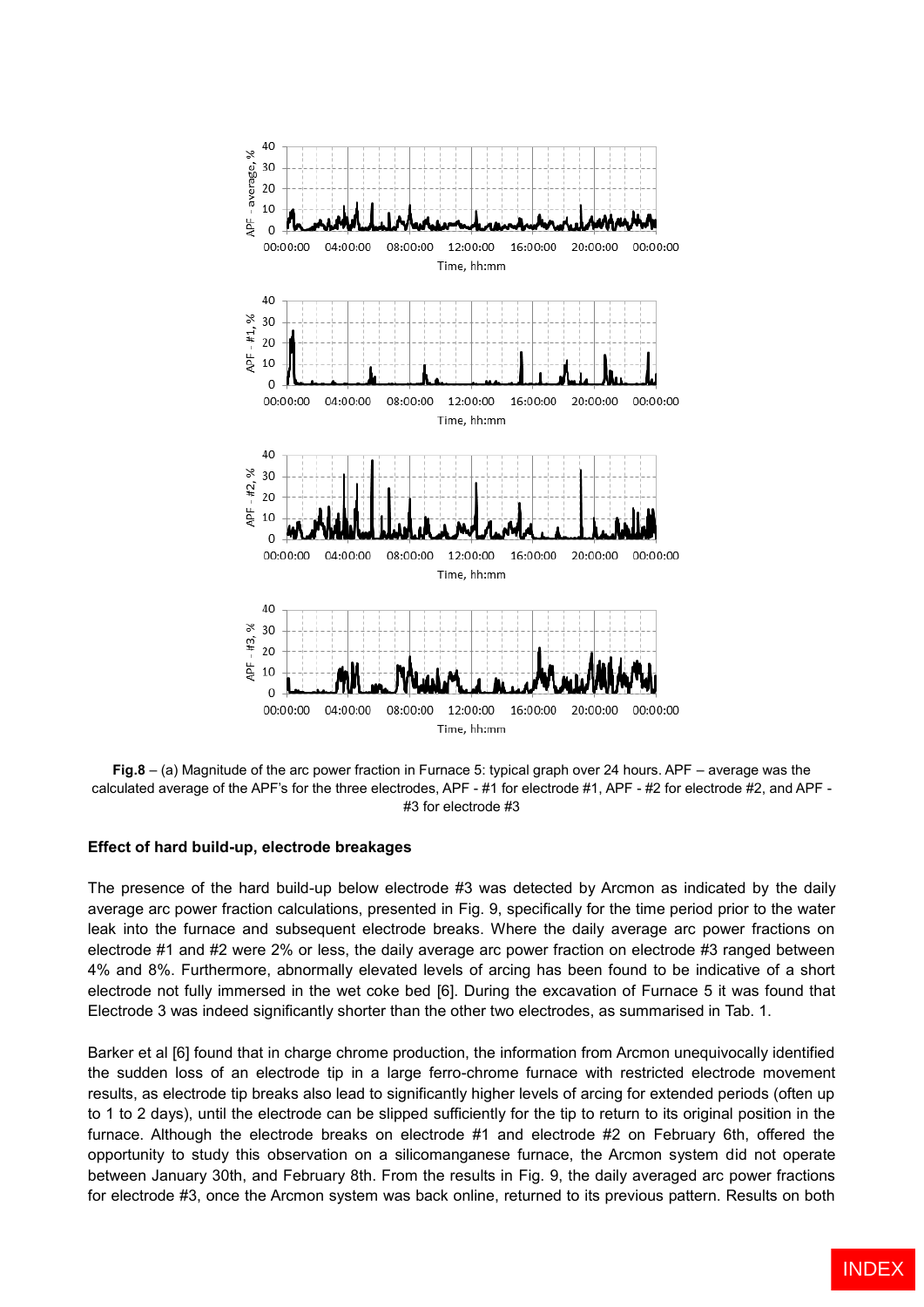

**Fig.8** – (a) Magnitude of the arc power fraction in Furnace 5: typical graph over 24 hours. APF – average was the calculated average of the APF's for the three electrodes, APF - #1 for electrode #1, APF - #2 for electrode #2, and APF - #3 for electrode #3

### **Effect of hard build-up, electrode breakages**

The presence of the hard build-up below electrode #3 was detected by Arcmon as indicated by the daily average arc power fraction calculations, presented in Fig. 9, specifically for the time period prior to the water leak into the furnace and subsequent electrode breaks. Where the daily average arc power fractions on electrode #1 and #2 were 2% or less, the daily average arc power fraction on electrode #3 ranged between 4% and 8%. Furthermore, abnormally elevated levels of arcing has been found to be indicative of a short electrode not fully immersed in the wet coke bed [6]. During the excavation of Furnace 5 it was found that Electrode 3 was indeed significantly shorter than the other two electrodes, as summarised in Tab. 1.

Barker et al [6] found that in charge chrome production, the information from Arcmon unequivocally identified the sudden loss of an electrode tip in a large ferro-chrome furnace with restricted electrode movement results, as electrode tip breaks also lead to significantly higher levels of arcing for extended periods (often up to 1 to 2 days), until the electrode can be slipped sufficiently for the tip to return to its original position in the furnace. Although the electrode breaks on electrode #1 and electrode #2 on February 6th, offered the opportunity to study this observation on a silicomanganese furnace, the Arcmon system did not operate between January 30th, and February 8th. From the results in Fig. 9, the daily averaged arc power fractions for electrode #3, once the Arcmon system was back online, returned to its previous pattern. Results on both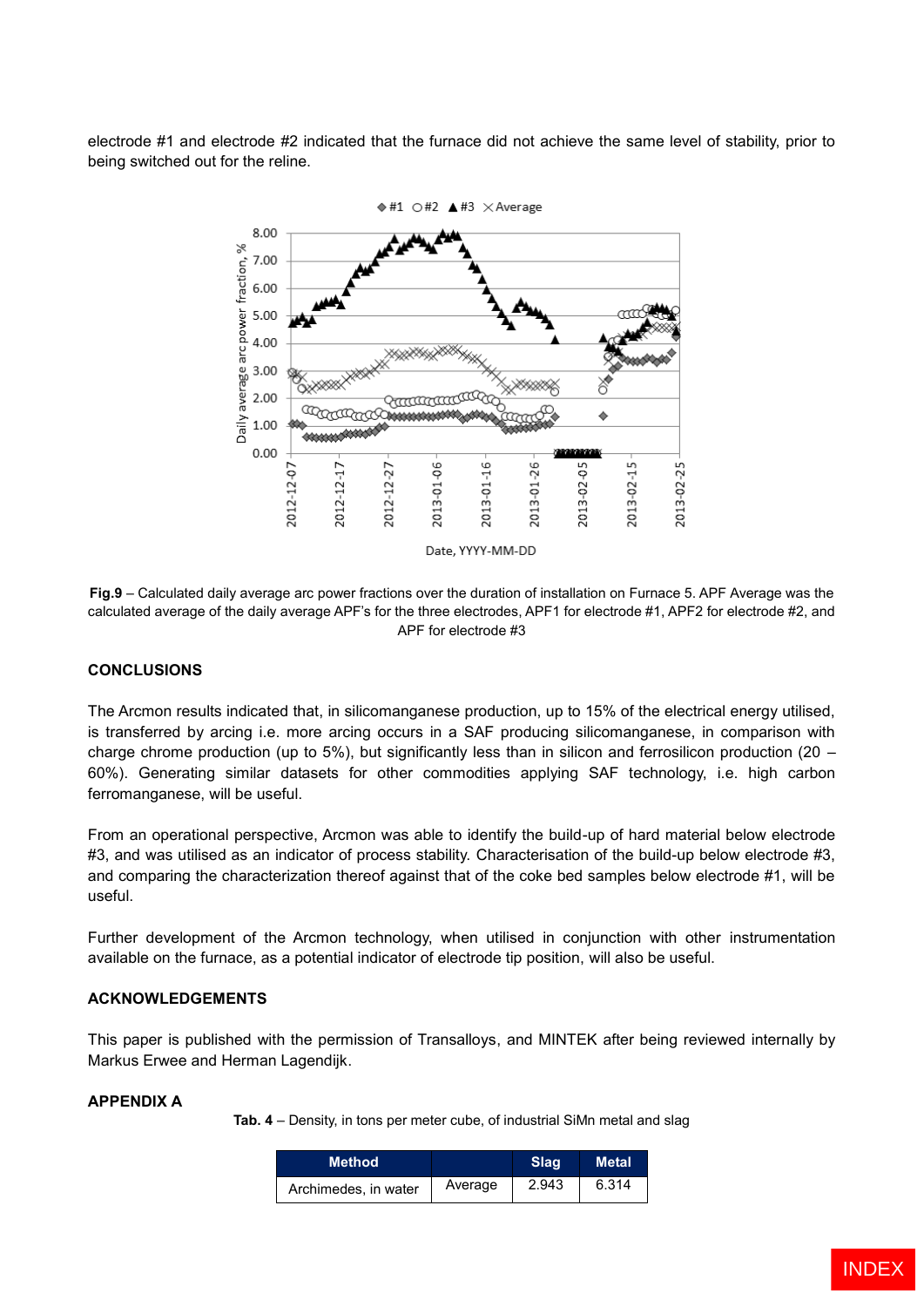electrode #1 and electrode #2 indicated that the furnace did not achieve the same level of stability, prior to being switched out for the reline.



**Fig.9** – Calculated daily average arc power fractions over the duration of installation on Furnace 5. APF Average was the calculated average of the daily average APF's for the three electrodes, APF1 for electrode #1, APF2 for electrode #2, and APF for electrode #3

### **CONCLUSIONS**

The Arcmon results indicated that, in silicomanganese production, up to 15% of the electrical energy utilised, is transferred by arcing i.e. more arcing occurs in a SAF producing silicomanganese, in comparison with charge chrome production (up to 5%), but significantly less than in silicon and ferrosilicon production (20 – 60%). Generating similar datasets for other commodities applying SAF technology, i.e. high carbon ferromanganese, will be useful.

From an operational perspective, Arcmon was able to identify the build-up of hard material below electrode #3, and was utilised as an indicator of process stability. Characterisation of the build-up below electrode #3, and comparing the characterization thereof against that of the coke bed samples below electrode #1, will be useful.

Further development of the Arcmon technology, when utilised in conjunction with other instrumentation available on the furnace, as a potential indicator of electrode tip position, will also be useful.

### **ACKNOWLEDGEMENTS**

This paper is published with the permission of Transalloys, and MINTEK after being reviewed internally by Markus Erwee and Herman Lagendijk.

# **APPENDIX A**

**Tab. 4** – Density, in tons per meter cube, of industrial SiMn metal and slag

| <b>Method</b>        |         | Slag  | Metal |
|----------------------|---------|-------|-------|
| Archimedes, in water | Average | 2.943 | 6.314 |